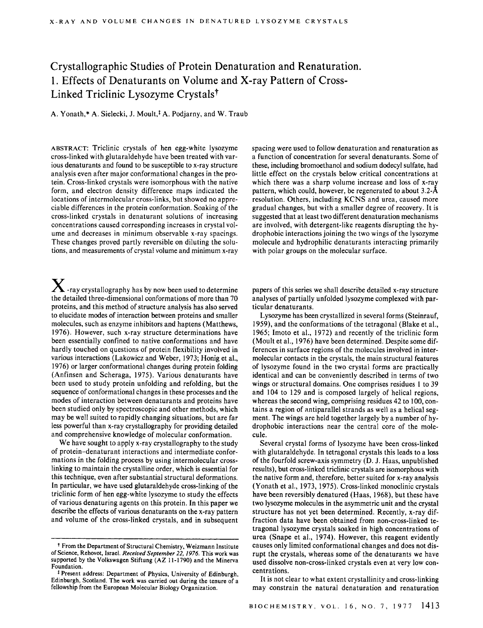# Crystallographic Studies of Protein Denaturation and Renaturation. 1. Effects of Denaturants on Volume and X-ray Pattern of Cross-Linked Triclinic Lysozyme Crystals?

A. Yonath,\* A. Sielecki, J. Moult,<sup>†</sup> A. Podjarny, and W. Traub

**ABSTRACT:** Triclinic crystals of hen egg-white lysozyme cross-linked with glutaraldehyde have been treated with various denaturants and found to be susceptible to x-ray structure analysis even after major conformational changes in the protein. Cross-linked crystals were isomorphous with the native form, and electron density difference maps indicated the locations of intermolecular cross-links, but showed no appreciable differences in the protein conformation. Soaking of the cross-linked crystals in denaturant solutions of increasing concentrations caused corresponding increases in crystal volume and decreases in minimum observable x-ray spacings. These changes proved partly reversible on diluting the solutions, and measurements of crystal volume and minimum x-ray

**x** -ray crystallography has by now been used to determine the detailed three-dimensional conformations of more than **70**  proteins, and this method of structure analysis has also served to elucidate modes of interaction between proteins and smaller molecules, such as enzyme inhibitors and haptens (Matthews, **1976).** However, such x-ray structure determinations have been essentially confined to native conformations and have hardly touched on questions of protein flexibility involved in various interactions (Lakowicz and Weber, **1973;** Honig et al., **1976)** or larger conformational changes during protein folding (An finsen and Scheraga, **1975).** Various denaturants have been used to study protein unfolding and refolding, but the sequence of conformational changes in these processes and the modes of interaction between denaturants and proteins have been studied only by spectroscopic and other methods, which may be well suited to rapidly changing situations, but are far less powerful than x-ray crystallography for providing detailed and comprehensive knowledge of molecular conformation.

We have sought to apply x-ray crystallography to the study of protein-denaturant interactions and intermediate conformations in the folding process by using intermolecular crosslinking to maintain the crystalline order, which is essential for this technique, even after substantial structural deformations. In particular, we have used glutaraldehyde cross-linking of the triclinic form of hen egg-white lysozyme to study the effects of various denaturing agents on this protein. In this paper we describe the effects of various denaturants on the x-ray pattern and volume of the cross-linked crystals, and in subsequent spacing were used to follow denaturation and renaturation as a function of concentration for several denaturants. Some of these, including bromoethanol and sodium dodecyl sulfate, had little effect on the crystals below critical concentrations at which there was a sharp volume increase and loss of x-ray pattern, which could, however, be regenerated to about **3.2-A**  resolution. Others, including KCNS and urea, caused more gradual changes, but with a smaller degree of recovery. It is suggested that at least two different denaturation mechanisms are involved, with detergent-like reagents disrupting the hydrophobic interactions joining the two wings of the lysozyme molecule and hydrophilic denaturants interacting primarily with polar groups on the molecular surface.

papers of this series we shall describe detailed x-ray structure analyses of partially unfolded lysozyme complexed with particular denaturants.

Lysozyme has been crystallized in several forms (Steinrauf, **1959),** and the conformations of the tetragonal (Blake et al., **1965;** Imoto et al., **1972)** and recently of the triclinic form (Moult et al., **1976)** have been determined. Despite some differences in surface regions of the molecules involved in intermolecular contacts in the crystals, the main structural features of lysozyme found in the two crystal forms are practically identical and can be conveniently described in terms of two wings or structural domains. One comprises residues 1 to **39**  and **104** to **129** and is composed largely of helical regions, whereas the second wing, comprising residues **42** to 100, contains a region of antiparallel strands as well as a helical segment. The wings are held together largely by a number of hydrophobic interactions near the central core of the molecule.

Several crystal forms of lysozyme have been cross-linked with glutaraldehyde. In tetragonal crystals this leads to a loss of the fourfold screw-axis symmetry (D. **J.** Haas, unpublished results), but cross-linked triclinic crystals are isomorphous with the native form and, therefore, better suited for x-ray analysis (Yonath et al., **1973, 1975).** Cross-linked monoclinic crystals have been reversibly denatured (Haas, **1968),** but these have two lysozyme molecules in the asymmetric unit and the crystal structure has not yet been determined. Recently, x-ray diffraction data have been obtained from non-cross-linked tetragonal lysozyme crystals soaked in high concentrations of urea (Snape et al., **1974).** However, this reagent evidently causes only limited conformational changes and does not disrupt the crystals, whereas some of the denaturants we have used dissolve non-cross-linked crystals even at very low concentrations.

It is not clear to what extent crystallinity and cross-linking may constrain the natural denaturation and renaturation

<sup>+</sup>**From the Department of Structural Chemistry, Weizmann Institute of Science, Rehovot, Israel.** *Received September 22,1976.* **This work was supported by the Volkswagen Stiftung (AZ 11-1790) and the Minerva Foundation.** 

<sup>\*</sup> **Present address: Department of Physics, University of Edinburgh, Edinburgh, Scotland. The work was carried out during the tenure** *of* **a fellowship from the European Molecular Biology Organization.**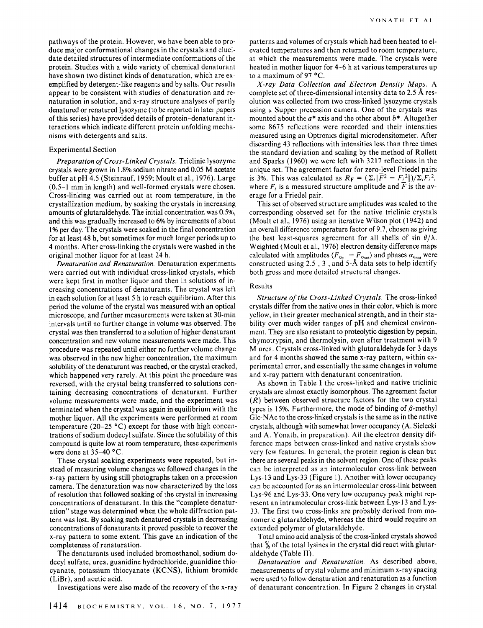pathways of the protein. However, we have been able to produce major conformational changes in the crystals and elucidate detailed structures of intermediate conformations of the protein. Studies with a wide variety of chemical denaturant have shown two distinct kinds of denaturation, which are exemplified by detergent-like reagents and by salts. Our results appear to be consistent with studies of denaturation and renaturation in solution, and x-ray structure analyses of partly denatured or renatured lysozyme (to be reported in later papers of this series) have provided details of protein-denaturant interactions which indicate different protein unfolding mechanisms with detergents and salts.

## Experimental Section

*Preparation of Cross-Linked Crystals.* Triclinic lysozyme crystals were grown in 1.8% sodium nitrate and 0.05 M acetate buffer at pH 4.5 (Steinrauf, 1959; Moult et al., 1976). Large (0.5-1 mm in length) and well-formed crystals were chosen. Cross-linking was carried out at room temperature, in the crystallization medium, by soaking the crystals in increasing amounts of glutaraldehyde. The initial concentration was *OS%,*  and this was gradually increased to 6% by increments of about 1% per day. The crystals were soaked in the final concentration for at least 48 h, but sometimes for much longer periods up to 4 months. After cross-linking the crystals were washed in the original mother liquor for at least 24 h.

*Denaturation and Renaturation.* Denaturation experiments were carried out with individual cross-linked crystals, which were kept first in mother liquor and then in solutions of increasing concentrations of denaturants. The crystal was left in each solution for at least 5 h to reach equilibrium. After this period the volume of the crystal was measured with an optical microscope, and further measurements were taken at 30-min intervals until no further change in volume was observed. The crystal was then transferred to a solution of higher denaturant concentration and new volume measurements were made. This procedure was repeated until either no further volume change was observed in the new higher concentration, the maximum solubility of the denaturant was reached, or the crystal cracked, which happened very rarely. At this point the procedure was reversed, with the crystal being transferred to solutions containing decreasing concentrations of denaturant. Further volume measurements were made, and the experiment was terminated when the crystal was again in equilibrium with the mother liquor. All the experiments were performed at room temperature (20–25  $\textdegree$ C) except for those with high concentrations of sodium dodecyl sulfate. Since the solubility of this compound is quite low at room temperature, these experiments were done at  $35-40$  °C.

These crystal soaking experiments were repeated, but instead of measuring volume changes we followed changes in the x-ray pattern by using still photographs taken on a precession camera. The denaturation was now characterized by the loss of resolution that followed soaking of the crystal in increasing concentrations of denaturant. In this the "complete denaturation" stage was determined when the whole diffraction pattern was lost. By soaking such denatured crystals in decreasing concentrations of denaturants it proved possible to recover the x-ray pattern to some extent. This gave an indication of the completeness of renaturation.

The denaturants used included bromoethanol, sodium dodecyl sulfate, urea, guanidine hydrochloride, guanidine thiocyanate, potassium thiocyanate (KCNS), lithium bromide (LiBr), and acetic acid.

Investigations were also made of the recovery of the x-ray

patterns and volumes of crystals which had been heated to elevated temperatures and then returned to room temperature, at which the measurements were made. The crystals were heated in mother liquor for 4-6 h at various temperatures up to a maximum of 97 *OC.* 

*X-ray Data Collection and Electron Density Maps.* A complete set of three-dimensional intensity data to 2.5 Å resolution was collected from two cross-linked lysozyme crystals using a Supper precession camera. One of the crystals was mounted about the *a\** axis and the other about *b\*.* Altogether some 8675 reflections were recorded and their intensities measured using an Optronics digital microdensitometer. After discarding 43 reflections with intensities less than three times the standard deviation and scaling by the method of Rollett and Sparks (1960) we were left with 3217 reflections in the unique set. The agreement factor for zero-level Friedel pairs is 3%. This was calculated as  $R_F = (\Sigma_i |\overline{F}^2 - F_i^2|)/\Sigma_i F_i^2$ , where  $F_i$  is a measured structure amplitude and  $\overline{F}$  is the average for a Friedel pair.

This set of observed structure amplitudes was scaled to the corresponding observed set for the native triclinic crystals (Moult et al., 1976) using an iterative Wilson plot (1942) and an overall difference temperature factor of 9.7, chosen as giving the best least-squares agreement for all shells of sin  $\theta/\lambda$ . Weighted (Moult et al., 1976) electron density difference maps weighted (Moult et al., 1976) electron density difference maps<br>calculated with amplitudes  $(F_{o_{e1}} - F_{o_{nai}})$  and phases  $\alpha_{c_{nai}}$  were constructed using 2.5, 3-, and 5-8, data sets to help identify both gross and more detailed structural changes.

#### Results

*Structure of the Cross-Linked Crystals.* The cross-linked crystals differ from the native ones in their color, which is more yellow, in their greater mechanical strength, and in their stability over much wider ranges of pH and chemical environment. They are also resistant to proteolytic digestion by pepsin, chymotrypsin, and thermolysin, even after treatment with 9 M urea. Crystals cross-linked with glutaraldehyde for 3 days and for **4** months showed the same x-ray pattern, within experimental error, and essentially the same changes in volume and x-ray pattern with denaturant concentration.

As shown in Table **1** the cross-linked and native triclinic crystals are almost exactly isomorphous. The agreement factor *(R)* between observed structure factors for the two crystal types is 15%. Furthermore, the mode of binding of  $\beta$ -methyl Glc-NAc to the cross-linked crystals is the same as in the native crystals, although with somewhat lower occupancy (A. Sielecki and A. Yonath, in preparation). All the electron density difference maps between cross-linked and native crystals show very few features. In general, the protein region is clean but there are several peaks in the solvent region. One of these peaks can be interpreted as an intermolecular cross-link between Lys-13 and Lys-33 (Figure 1). Another with lower occupancy can be accounted for as an intermolecular cross-link between Lys-96 and Lys-33. One very low occupancy peak might represent an intramolecular cross-link between Lys- 13 and Lys-33. The first two cross-links are probably derived from monomeric glutaraldehyde, whereas the third would require an extended polymer of glutaraldehyde.

Total amino acid analysis of the cross-linked crystals showed that *5/6* of the total lysines in the crystal did react with glutaraldehyde (Table 11).

*Denaturation and Renaturation.* As described above, measurements of crystal volume and minimum x-ray spacing were used to follow denaturation and renaturation as a function of denaturant concentration. In Figure **2** changes in crystal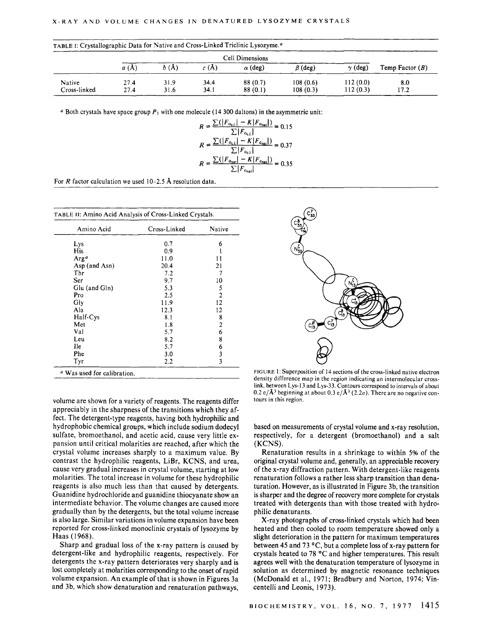| TABLE I: Crystallographic Data for Native and Cross-Linked Triclinic Lysozyme. <sup>a</sup> |                 |                 |              |                     |                      |                      |                   |
|---------------------------------------------------------------------------------------------|-----------------|-----------------|--------------|---------------------|----------------------|----------------------|-------------------|
|                                                                                             | Cell Dimensions |                 |              |                     |                      |                      |                   |
|                                                                                             | a(A)            | $b(\text{\AA})$ | c(A)         | $\alpha$ (deg)      | $\beta$ (deg)        | $\gamma$ (deg)       | Temp Factor $(B)$ |
| Native<br>Cross-linked                                                                      | 27.4<br>27.4    | 31.9<br>31.6    | 34.4<br>34.1 | 88 (0.7)<br>88(0.1) | 108(0.6)<br>108(0.3) | 112(0.0)<br>112(0.3) | 8.0<br>17.2       |

<sup>*a*</sup> Both crystals have space group  $P_1$  with one molecule (14 300 daltons) in the asymmetric unit:

$$
R = \frac{\sum(|F_{o_{\text{cl.}}}| - K|F_{o_{\text{nat}}}|)}{\sum|F_{o_{\text{cl.}}}|} = 0.15
$$
  

$$
R = \frac{\sum(|F_{o_{\text{cl.}}}| - K|F_{o_{\text{nat}}}|)}{\sum|F_{o_{\text{cl.}}}|} = 0.37
$$
  

$$
R = \frac{\sum(|F_{o_{\text{nat}}}| - K|F_{o_{\text{nat}}}|)}{\sum|F_{o_{\text{nat}}}|} = 0.35
$$

For *R* factor calculation we used 10-2.5 **8,** resolution data.

| Amino Acid         | Cross-Linked | Native         |
|--------------------|--------------|----------------|
| Lys                | 0.7          | 6              |
| His                | 0.9          |                |
| $\text{Arg}^{\,a}$ | 11.0         | 11             |
| Asp (and Asn)      | 20.4         | 21             |
| Thr                | 7.2          | 7              |
| Ser                | 9.7          | 10             |
| Glu (and Gln)      | 5.3          | 5              |
| Pro                | 2.5          | $\overline{2}$ |
| Gly                | 11.9         | 12             |
| Ala                | 12.3         | 12             |
| Half-Cys           | 8.1          | 8              |
| Met                | 1.8          | $\overline{c}$ |
| Val                | 5.7          | 6              |
| Leu                | 8.2          | 8              |
| <b>Ile</b>         | 5.7          | 6              |
| Phe                | 3.0          | $\frac{3}{3}$  |
| Tyr                | 2.2          |                |

volume are shown for a variety of reagents. The reagents differ appreciably in the sharpness of the transitions which they affect. The detergent-type reagents, having both hydrophilic and hydrophobic chemical groups, which include sodium dodecyl sulfate, bromoethanol, and acetic acid, cause very little expansion until critical molarities are reached, after which the crystal volume increases sharply to a maximum value. By contrast the hydrophilic reagents, LiBr, KCNS, and urea, cause very gradual increases in crystal volume, starting at low molarities. The total increase in volume for these hydrophilic reagents is also much less than that caused by detergents. Guanidine hydrochloride and guanidine thiocyanate show an intermediate behavior. The volume changes are caused more gradually than by the detergents, but the total volume increase is also large. Similar variations in volume expansion have been reported for cross-linked monoclinic crystals of lysozyme by Haas (1968).

Sharp and gradual loss of the x-ray pattern is caused by detergent-like and hydrophilic reagents, respectively. For detergents the x-ray pattern deteriorates very sharply and is lost completely at molarities corresponding to the onset of rapid volume expansion. **An** example of that is shown in Figures 3a and 3b, which show denaturation and renaturation pathways,



**FIGURE** 1: Superposition of 14 sections of the cross-linked native electron density difference map in the region indicating an intermolecular crosslink, between Lys-13 and **Lys-33.** Contours correspond to intervals of about 0.2 e/ $\mathbf{A}^3$  beginning at about 0.3 e/ $\mathbf{A}^3$  (2.2 $\sigma$ ). There are no negative contours in this region.

based on measurements of crystal volume and x-ray resolution, respectively, for a detergent (bromoethanol) and a salt (KCNS) .

Renaturation results in a shrinkage to within 5% of the original crystal volume and, generalIy, an appreciable recovery of the x-ray diffraction pattern. With detergent-like reagents renaturation follows a rather less sharp transition than denaturation. However, as is illustrated in Figure 3b, the transition is sharper and the degree of recovery more complete for crystals treated with detergents than with those treated with hydrophilic denaturants.

X-ray photographs of cross-linked crystals which had been heated and then cooled to room temperature showed only a slight deterioration in the pattern for maximum temperatures between 45 and 73 °C, but a complete loss of x-ray pattern for crystals heated to 78 °C and higher temperatures. This result agrees well with the denaturation temperature of lysozyme in solution as determined by magnetic resonance techniques (McDonald et al., 1971; Bradbury and Norton, 1974; Vincentelli and Leonis, 1973).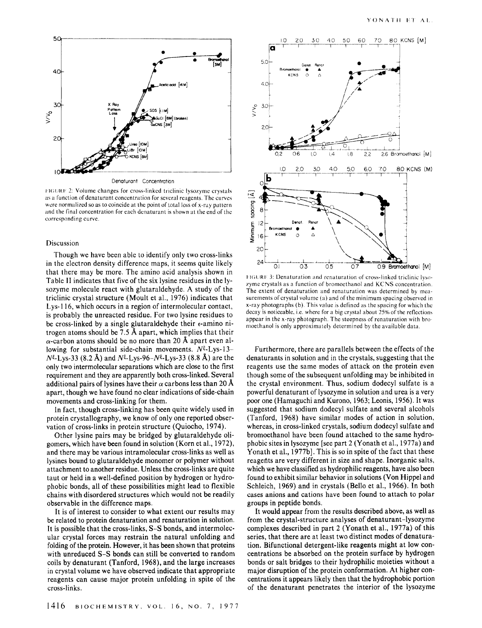

Denaturant Concentration

**FIGURE 2: Volume changes for cross-linked triclinic lysozyme crystals** as a function of denaturant concentration for several reagents. The curves were normalized so as to coincide at the point of total loss of x-ray pattern and the final concentration for each denaturant is shown at the end of the corresponding curve.

#### Discussion

Though we have been able to identify only two cross-links in the electron density difference maps, it seems quite likely that there may be more. The amino acid analysis shown in Table **I1** indicates that five of the six lysine residues in the lysozyme molecule react with glutaraldehyde. **A** study of the triclinic crystal structure (Moult et al., 1976) indicates that Lys-l 16, which occurs in a region of intermolecular contact, is probably the unreacted residue. For two lysine residues to be cross-linked by a single glutaraldehyde their  $\epsilon$ -amino nitrogen atoms should be 7.5 **A** apart, which implies that their  $\alpha$ -carbon atoms should be no more than 20 Å apart even allowing for substantial side-chain movements.  $N^{\xi}$ -Lys-13- $N^{\xi}$ -Lys-33 (8.2 Å) and  $N^{\xi}$ -Lys-96- $N^{\xi}$ -Lys-33 (8.8 Å) are the only two intermolecular separations which are close to the first requirement and they are apparently both cross-linked. Several additional pairs of lysines have their  $\alpha$  carbons less than 20 Å apart, though we have found no clear indications of side-chain movements and cross-linking for them.

In fact, though cross-linking has been quite widely used in protein crystallography, we know of only one reported observation of cross-links in protein structure (Quiocho, 1974).

Other lysine pairs may be bridged by glutaraldehyde oligomers, which have been found in solution (Korn et al., 1972), and there may be various intramolecular cross-links as well as lysines bound to glutaraldehyde monomer or polymer without attachment to another residue. Unless the cross-links are quite taut or held in a well-defined position by hydrogen or hydrophobic bonds, all of these possibilities might lead to flexible chains with disordered structures which would not be readily observable in the difference maps.

It is of interest to consider to what extent our results may be related to protein denaturation and renaturation in solution. It is possible that the cross-links, **S-S** bonds, and intermolecular crystal forces may restrain the natural unfolding and folding of the protein. However, it has been shown that proteins with unreduced *S-S* bonds can still be converted to random coils by denaturant (Tanford, 1968), and the large increases in crystal volume we have observed indicate that appropriate reagents can cause major protein unfolding in spite of the cross-links.





FIGURE 3: Denaturation and renaturation of cross-linked triclinic lysozyme crystals as a function of bromoethanol and KCNS concentration. The extent of denaturation and renaturation was determined by measurements of crystal volume (a) and of the minimum spacing observed in x-ray photographs (b). This value is defined as the spacing for which the decay is noticeable, i.e. where for a big crystal about  $25\%$  of the reflections appear in the x-ray photograph. The steepness of renaturation with bromoethanol is only approximately determined by the available data.

Furthermore, there are parallels between the effects of the denaturants in solution and in the crystals, suggesting that the reagents use the same modes of attack on the protein even though some of the subsequent unfolding may be inhibited in the crystal environment. Thus, sodium dodecyl sulfate is a powerful denaturant of lysozyme in solution and urea is a very poor one (Hamaguchi and Kurono, 1963; Leonis, 1956). It was suggested that sodium dodecyl sulfate and several alcohols (Tanford, 1968) have similar modes of action in solution, whereas, in cross-linked crystals, sodium dodecyl sulfate and bromoethanol have been found attached to the same hydrophobic sites in lysozyme [see part 2 (Yonath et al., 1977a) and Yonath et al., 1977b]. This is so in spite of the fact that these reagents are very different in size and shape. Inorganic salts, which we have classified as hydrophilic reagents, have also been found to exhibit similar behavior in solutions (Von Hippel and Schleich, 1969) and in crystals (Bello et al., 1966). In both cases anions and cations have been found to attach to polar groups in peptide bonds.

It would appear from the results described above, as well as from the crystal-structure analyses of denaturant-lysozyme complexes described in part **2** (Yonath et al., 1977a) of this series, that there are at least two distinct modes of denaturation. Bifunctional detergent-like reagents might at low concentrations be absorbed on the protein surface by hydrogen bonds or salt bridges to their hydrophilic moieties without a major disruption of the protein conformation. **At** higher concentrations it appears likely then that the hydrophobic portion of the denaturant penetrates the interior of the lysozyme